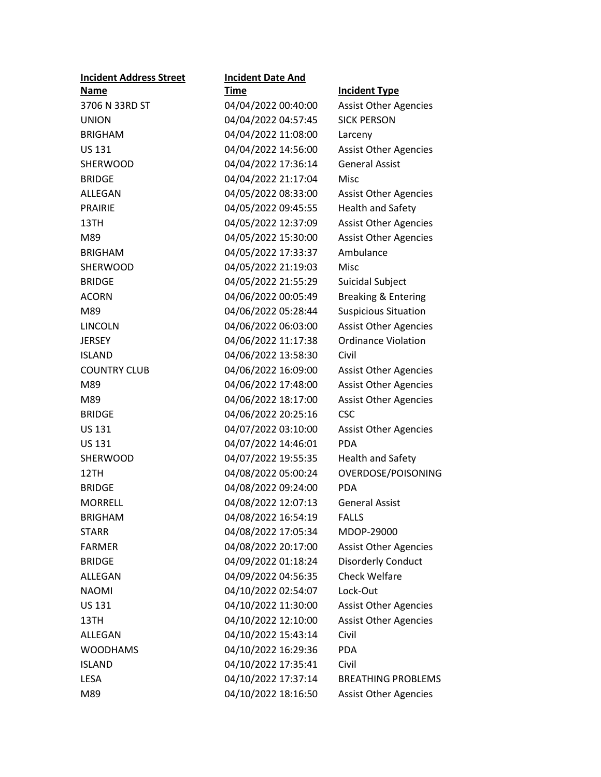| <b>Incident Date And</b> |                                |
|--------------------------|--------------------------------|
| <u>Time</u>              | <b>Incident Type</b>           |
| 04/04/2022 00:40:00      | <b>Assist Other Agencies</b>   |
| 04/04/2022 04:57:45      | <b>SICK PERSON</b>             |
| 04/04/2022 11:08:00      | Larceny                        |
| 04/04/2022 14:56:00      | <b>Assist Other Agencies</b>   |
| 04/04/2022 17:36:14      | <b>General Assist</b>          |
| 04/04/2022 21:17:04      | Misc                           |
| 04/05/2022 08:33:00      | <b>Assist Other Agencies</b>   |
| 04/05/2022 09:45:55      | <b>Health and Safety</b>       |
| 04/05/2022 12:37:09      | <b>Assist Other Agencies</b>   |
| 04/05/2022 15:30:00      | <b>Assist Other Agencies</b>   |
| 04/05/2022 17:33:37      | Ambulance                      |
| 04/05/2022 21:19:03      | Misc                           |
| 04/05/2022 21:55:29      | Suicidal Subject               |
| 04/06/2022 00:05:49      | <b>Breaking &amp; Entering</b> |
| 04/06/2022 05:28:44      | <b>Suspicious Situation</b>    |
| 04/06/2022 06:03:00      | <b>Assist Other Agencies</b>   |
| 04/06/2022 11:17:38      | <b>Ordinance Violation</b>     |
| 04/06/2022 13:58:30      | Civil                          |
| 04/06/2022 16:09:00      | <b>Assist Other Agencies</b>   |
| 04/06/2022 17:48:00      | <b>Assist Other Agencies</b>   |
| 04/06/2022 18:17:00      | <b>Assist Other Agencies</b>   |
| 04/06/2022 20:25:16      | <b>CSC</b>                     |
| 04/07/2022 03:10:00      | <b>Assist Other Agencies</b>   |
| 04/07/2022 14:46:01      | <b>PDA</b>                     |
| 04/07/2022 19:55:35      | <b>Health and Safety</b>       |
| 04/08/2022 05:00:24      | OVERDOSE/POISONING             |
| 04/08/2022 09:24:00      | <b>PDA</b>                     |
| 04/08/2022 12:07:13      | <b>General Assist</b>          |
| 04/08/2022 16:54:19      | <b>FALLS</b>                   |
| 04/08/2022 17:05:34      | MDOP-29000                     |
| 04/08/2022 20:17:00      | <b>Assist Other Agencies</b>   |
| 04/09/2022 01:18:24      | <b>Disorderly Conduct</b>      |
| 04/09/2022 04:56:35      | Check Welfare                  |
| 04/10/2022 02:54:07      | Lock-Out                       |
| 04/10/2022 11:30:00      | <b>Assist Other Agencies</b>   |
| 04/10/2022 12:10:00      | <b>Assist Other Agencies</b>   |
| 04/10/2022 15:43:14      | Civil                          |
| 04/10/2022 16:29:36      | <b>PDA</b>                     |
| 04/10/2022 17:35:41      | Civil                          |
| 04/10/2022 17:37:14      | <b>BREATHING PROBLEMS</b>      |
| 04/10/2022 18:16:50      | <b>Assist Other Agencies</b>   |
|                          |                                |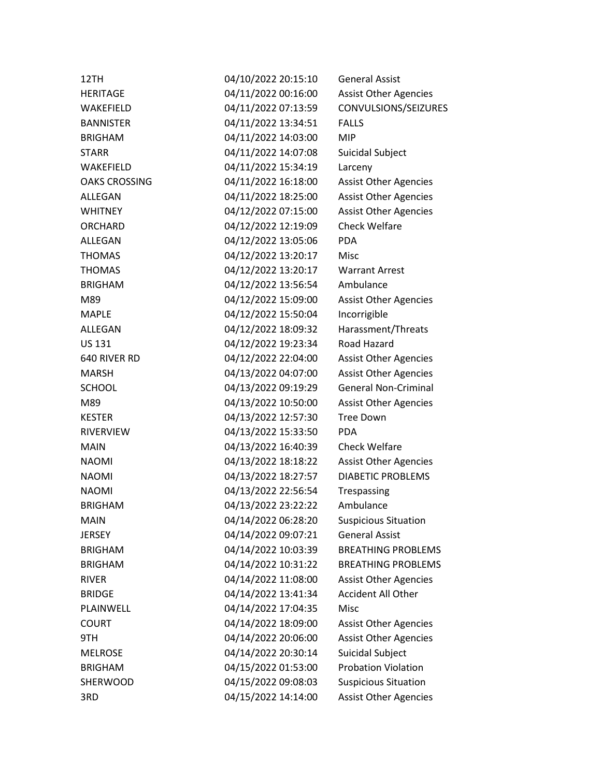| 12TH                 | 04/10/2022 20:15:10 | <b>General Assist</b>        |
|----------------------|---------------------|------------------------------|
| <b>HERITAGE</b>      | 04/11/2022 00:16:00 | <b>Assist Other Agencies</b> |
| WAKEFIELD            | 04/11/2022 07:13:59 | CONVULSIONS/SEIZURES         |
| <b>BANNISTER</b>     | 04/11/2022 13:34:51 | <b>FALLS</b>                 |
| <b>BRIGHAM</b>       | 04/11/2022 14:03:00 | <b>MIP</b>                   |
| <b>STARR</b>         | 04/11/2022 14:07:08 | Suicidal Subject             |
| WAKEFIELD            | 04/11/2022 15:34:19 | Larceny                      |
| <b>OAKS CROSSING</b> | 04/11/2022 16:18:00 | <b>Assist Other Agencies</b> |
| ALLEGAN              | 04/11/2022 18:25:00 | <b>Assist Other Agencies</b> |
| <b>WHITNEY</b>       | 04/12/2022 07:15:00 | <b>Assist Other Agencies</b> |
| <b>ORCHARD</b>       | 04/12/2022 12:19:09 | <b>Check Welfare</b>         |
| <b>ALLEGAN</b>       | 04/12/2022 13:05:06 | <b>PDA</b>                   |
| <b>THOMAS</b>        | 04/12/2022 13:20:17 | Misc                         |
| <b>THOMAS</b>        | 04/12/2022 13:20:17 | <b>Warrant Arrest</b>        |
| <b>BRIGHAM</b>       | 04/12/2022 13:56:54 | Ambulance                    |
| M89                  | 04/12/2022 15:09:00 | <b>Assist Other Agencies</b> |
| <b>MAPLE</b>         | 04/12/2022 15:50:04 | Incorrigible                 |
| <b>ALLEGAN</b>       | 04/12/2022 18:09:32 | Harassment/Threats           |
| <b>US 131</b>        | 04/12/2022 19:23:34 | Road Hazard                  |
| 640 RIVER RD         | 04/12/2022 22:04:00 | <b>Assist Other Agencies</b> |
| <b>MARSH</b>         | 04/13/2022 04:07:00 | <b>Assist Other Agencies</b> |
| <b>SCHOOL</b>        | 04/13/2022 09:19:29 | <b>General Non-Criminal</b>  |
| M89                  | 04/13/2022 10:50:00 | <b>Assist Other Agencies</b> |
| <b>KESTER</b>        | 04/13/2022 12:57:30 | <b>Tree Down</b>             |
| <b>RIVERVIEW</b>     | 04/13/2022 15:33:50 | PDA                          |
| <b>MAIN</b>          | 04/13/2022 16:40:39 | <b>Check Welfare</b>         |
| <b>NAOMI</b>         | 04/13/2022 18:18:22 | <b>Assist Other Agencies</b> |
| <b>NAOMI</b>         | 04/13/2022 18:27:57 | <b>DIABETIC PROBLEMS</b>     |
| <b>NAOMI</b>         | 04/13/2022 22:56:54 | Trespassing                  |
| <b>BRIGHAM</b>       | 04/13/2022 23:22:22 | Ambulance                    |
| <b>MAIN</b>          | 04/14/2022 06:28:20 | <b>Suspicious Situation</b>  |
| <b>JERSEY</b>        | 04/14/2022 09:07:21 | <b>General Assist</b>        |
| <b>BRIGHAM</b>       | 04/14/2022 10:03:39 | <b>BREATHING PROBLEMS</b>    |
| <b>BRIGHAM</b>       | 04/14/2022 10:31:22 | <b>BREATHING PROBLEMS</b>    |
| <b>RIVER</b>         | 04/14/2022 11:08:00 | <b>Assist Other Agencies</b> |
| <b>BRIDGE</b>        | 04/14/2022 13:41:34 | <b>Accident All Other</b>    |
| PLAINWELL            | 04/14/2022 17:04:35 | Misc                         |
| <b>COURT</b>         | 04/14/2022 18:09:00 | <b>Assist Other Agencies</b> |
| 9TH                  | 04/14/2022 20:06:00 | <b>Assist Other Agencies</b> |
| <b>MELROSE</b>       | 04/14/2022 20:30:14 | Suicidal Subject             |
| <b>BRIGHAM</b>       | 04/15/2022 01:53:00 | <b>Probation Violation</b>   |
| SHERWOOD             | 04/15/2022 09:08:03 | <b>Suspicious Situation</b>  |
| 3RD                  | 04/15/2022 14:14:00 | <b>Assist Other Agencies</b> |
|                      |                     |                              |